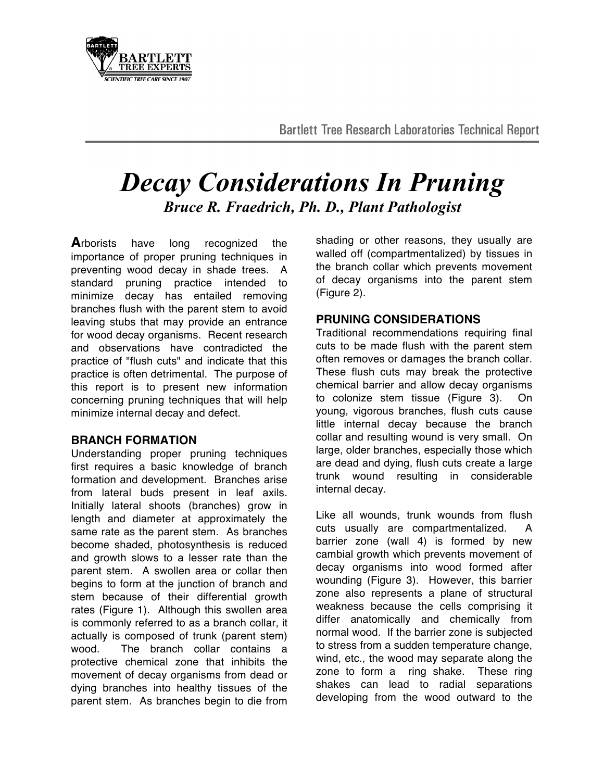**Bartlett Tree Research Laboratories Technical Report** 

# *Decay Considerations In Pruning Bruce R. Fraedrich, Ph. D., Plant Pathologist*

**A**rborists have long recognized the importance of proper pruning techniques in preventing wood decay in shade trees. A standard pruning practice intended to minimize decay has entailed removing branches flush with the parent stem to avoid leaving stubs that may provide an entrance for wood decay organisms. Recent research and observations have contradicted the practice of "flush cuts" and indicate that this practice is often detrimental. The purpose of this report is to present new information concerning pruning techniques that will help minimize internal decay and defect.

### **BRANCH FORMATION**

Understanding proper pruning techniques first requires a basic knowledge of branch formation and development. Branches arise from lateral buds present in leaf axils. Initially lateral shoots (branches) grow in length and diameter at approximately the same rate as the parent stem. As branches become shaded, photosynthesis is reduced and growth slows to a lesser rate than the parent stem. A swollen area or collar then begins to form at the junction of branch and stem because of their differential growth rates (Figure 1). Although this swollen area is commonly referred to as a branch collar, it actually is composed of trunk (parent stem) wood. The branch collar contains a protective chemical zone that inhibits the movement of decay organisms from dead or dying branches into healthy tissues of the parent stem. As branches begin to die from shading or other reasons, they usually are walled off (compartmentalized) by tissues in the branch collar which prevents movement of decay organisms into the parent stem (Figure 2).

## **PRUNING CONSIDERATIONS**

Traditional recommendations requiring final cuts to be made flush with the parent stem often removes or damages the branch collar. These flush cuts may break the protective chemical barrier and allow decay organisms to colonize stem tissue (Figure 3). On young, vigorous branches, flush cuts cause little internal decay because the branch collar and resulting wound is very small. On large, older branches, especially those which are dead and dying, flush cuts create a large trunk wound resulting in considerable internal decay.

Like all wounds, trunk wounds from flush cuts usually are compartmentalized. A barrier zone (wall 4) is formed by new cambial growth which prevents movement of decay organisms into wood formed after wounding (Figure 3). However, this barrier zone also represents a plane of structural weakness because the cells comprising it differ anatomically and chemically from normal wood. If the barrier zone is subjected to stress from a sudden temperature change, wind, etc., the wood may separate along the zone to form a ring shake. These ring shakes can lead to radial separations developing from the wood outward to the

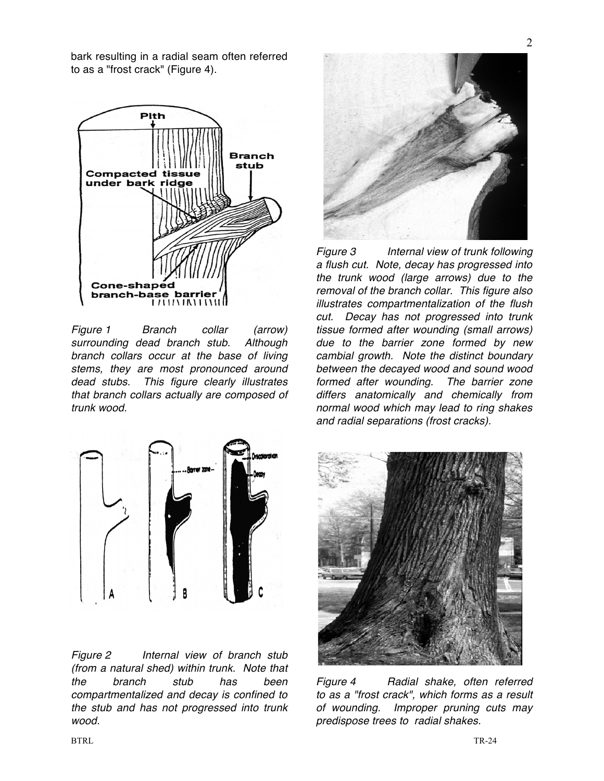bark resulting in a radial seam often referred to as a "frost crack" (Figure 4).



*Figure 1 Branch collar (arrow) surrounding dead branch stub. Although branch collars occur at the base of living stems, they are most pronounced around dead stubs. This figure clearly illustrates that branch collars actually are composed of trunk wood.* 



*Figure 2 Internal view of branch stub (from a natural shed) within trunk. Note that the branch stub has been compartmentalized and decay is confined to the stub and has not progressed into trunk wood.* 



*Figure 3 Internal view of trunk following a flush cut. Note, decay has progressed into the trunk wood (large arrows) due to the removal of the branch collar. This figure also illustrates compartmentalization of the flush cut. Decay has not progressed into trunk tissue formed after wounding (small arrows) due to the barrier zone formed by new cambial growth. Note the distinct boundary between the decayed wood and sound wood formed after wounding. The barrier zone differs anatomically and chemically from normal wood which may lead to ring shakes and radial separations (frost cracks).* 



*Figure 4 Radial shake, often referred to as a "frost crack", which forms as a result of wounding. Improper pruning cuts may predispose trees to radial shakes.*